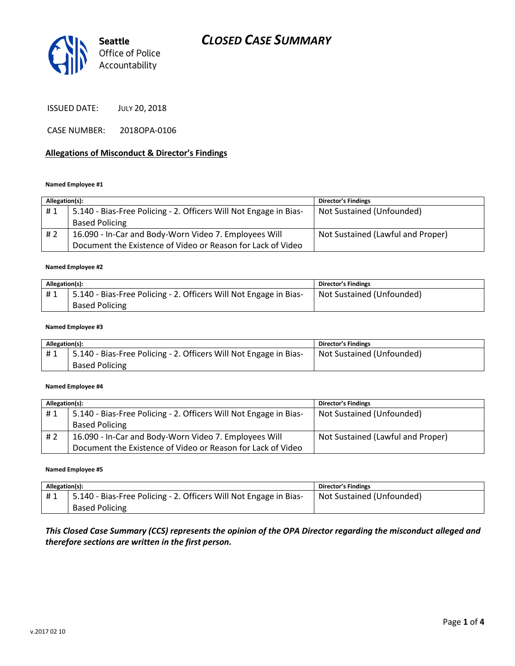

ISSUED DATE: JULY 20, 2018

CASE NUMBER: 2018OPA-0106

### **Allegations of Misconduct & Director's Findings**

### **Named Employee #1**

| Allegation(s): |                                                                   | <b>Director's Findings</b>        |
|----------------|-------------------------------------------------------------------|-----------------------------------|
| #1             | 5.140 - Bias-Free Policing - 2. Officers Will Not Engage in Bias- | Not Sustained (Unfounded)         |
|                | <b>Based Policing</b>                                             |                                   |
| # 2            | 16.090 - In-Car and Body-Worn Video 7. Employees Will             | Not Sustained (Lawful and Proper) |
|                | Document the Existence of Video or Reason for Lack of Video       |                                   |

### **Named Employee #2**

| Allegation(s): |                                                                   | Director's Findings       |
|----------------|-------------------------------------------------------------------|---------------------------|
|                | 5.140 - Bias-Free Policing - 2. Officers Will Not Engage in Bias- | Not Sustained (Unfounded) |
|                | <b>Based Policing</b>                                             |                           |

#### **Named Employee #3**

| Allegation(s): |                                                                                | <b>Director's Findings</b> |
|----------------|--------------------------------------------------------------------------------|----------------------------|
| #1             | <sup>1</sup> 5.140 - Bias-Free Policing - 2. Officers Will Not Engage in Bias- | Not Sustained (Unfounded)  |
|                | <b>Based Policing</b>                                                          |                            |

### **Named Employee #4**

| Allegation(s): |                                                                   | <b>Director's Findings</b>        |
|----------------|-------------------------------------------------------------------|-----------------------------------|
| #1             | 5.140 - Bias-Free Policing - 2. Officers Will Not Engage in Bias- | Not Sustained (Unfounded)         |
|                | <b>Based Policing</b>                                             |                                   |
| #2             | 16.090 - In-Car and Body-Worn Video 7. Employees Will             | Not Sustained (Lawful and Proper) |
|                | Document the Existence of Video or Reason for Lack of Video       |                                   |

### **Named Employee #5**

| Allegation(s): |                                                                   | <b>Director's Findings</b> |
|----------------|-------------------------------------------------------------------|----------------------------|
| #1             | 5.140 - Bias-Free Policing - 2. Officers Will Not Engage in Bias- | Not Sustained (Unfounded)  |
|                | <b>Based Policing</b>                                             |                            |

### *This Closed Case Summary (CCS) represents the opinion of the OPA Director regarding the misconduct alleged and therefore sections are written in the first person.*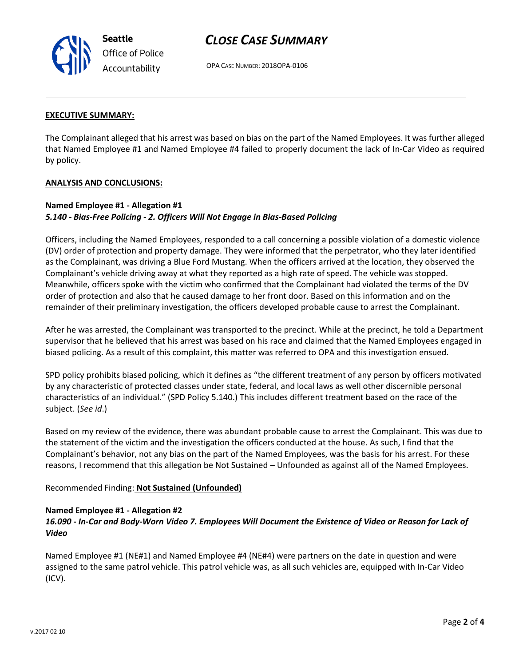# *CLOSE CASE SUMMARY*

OPA CASE NUMBER: 2018OPA-0106

### **EXECUTIVE SUMMARY:**

The Complainant alleged that his arrest was based on bias on the part of the Named Employees. It was further alleged that Named Employee #1 and Named Employee #4 failed to properly document the lack of In-Car Video as required by policy.

### **ANALYSIS AND CONCLUSIONS:**

### **Named Employee #1 - Allegation #1** *5.140 - Bias-Free Policing - 2. Officers Will Not Engage in Bias-Based Policing*

Officers, including the Named Employees, responded to a call concerning a possible violation of a domestic violence (DV) order of protection and property damage. They were informed that the perpetrator, who they later identified as the Complainant, was driving a Blue Ford Mustang. When the officers arrived at the location, they observed the Complainant's vehicle driving away at what they reported as a high rate of speed. The vehicle was stopped. Meanwhile, officers spoke with the victim who confirmed that the Complainant had violated the terms of the DV order of protection and also that he caused damage to her front door. Based on this information and on the remainder of their preliminary investigation, the officers developed probable cause to arrest the Complainant.

After he was arrested, the Complainant was transported to the precinct. While at the precinct, he told a Department supervisor that he believed that his arrest was based on his race and claimed that the Named Employees engaged in biased policing. As a result of this complaint, this matter was referred to OPA and this investigation ensued.

SPD policy prohibits biased policing, which it defines as "the different treatment of any person by officers motivated by any characteristic of protected classes under state, federal, and local laws as well other discernible personal characteristics of an individual." (SPD Policy 5.140.) This includes different treatment based on the race of the subject. (*See id*.)

Based on my review of the evidence, there was abundant probable cause to arrest the Complainant. This was due to the statement of the victim and the investigation the officers conducted at the house. As such, I find that the Complainant's behavior, not any bias on the part of the Named Employees, was the basis for his arrest. For these reasons, I recommend that this allegation be Not Sustained – Unfounded as against all of the Named Employees.

Recommended Finding: **Not Sustained (Unfounded)**

### **Named Employee #1 - Allegation #2**

## *16.090 - In-Car and Body-Worn Video 7. Employees Will Document the Existence of Video or Reason for Lack of Video*

Named Employee #1 (NE#1) and Named Employee #4 (NE#4) were partners on the date in question and were assigned to the same patrol vehicle. This patrol vehicle was, as all such vehicles are, equipped with In-Car Video (ICV).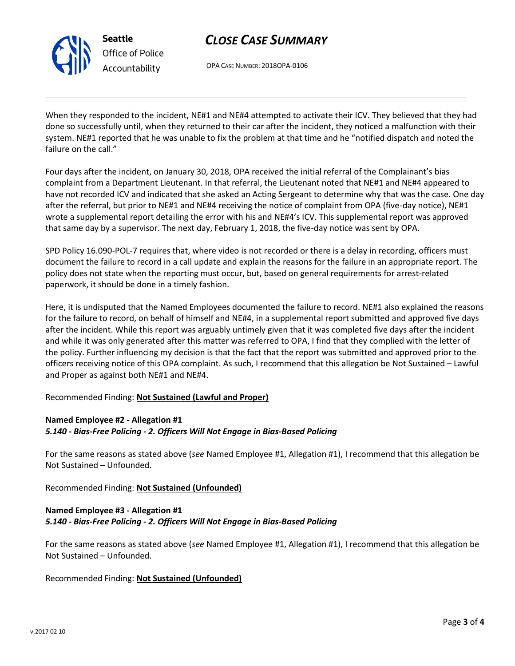

# *Office of Police Accountability*

# *CLOSE CASE SUMMARY*

OPA CASE NUMBER: 2018OPA-0106

When they responded to the incident, NE#1 and NE#4 attempted to activate their ICV. They believed that they had done so successfully until, when they returned to their car after the incident, they noticed a malfunction with their system. NE#1 reported that he was unable to fix the problem at that time and he "notified dispatch and noted the failure on the call."

Four days after the incident, on January 30, 2018, OPA received the initial referral of the Complainant's bias complaint from a Department Lieutenant. In that referral, the Lieutenant noted that NE#1 and NE#4 appeared to have not recorded ICV and indicated that she asked an Acting Sergeant to determine why that was the case. One day after the referral, but prior to NE#1 and NE#4 receiving the notice of complaint from OPA (five-day notice), NE#1 wrote a supplemental report detailing the error with his and NE#4's ICV. This supplemental report was approved that same day by a supervisor. The next day, February 1, 2018, the five-day notice was sent by OPA.

SPD Policy 16.090-POL-7 requires that, where video is not recorded or there is a delay in recording, officers must document the failure to record in a call update and explain the reasons for the failure in an appropriate report. The policy does not state when the reporting must occur, but, based on general requirements for arrest-related paperwork, it should be done in a timely fashion.

Here, it is undisputed that the Named Employees documented the failure to record. NE#1 also explained the reasons for the failure to record, on behalf of himself and NE#4, in a supplemental report submitted and approved five days after the incident. While this report was arguably untimely given that it was completed five days after the incident and while it was only generated after this matter was referred to OPA, I find that they complied with the letter of the policy. Further influencing my decision is that the fact that the report was submitted and approved prior to the officers receiving notice of this OPA complaint. As such, I recommend that this allegation be Not Sustained – Lawful and Proper as against both NE#1 and NE#4.

## Recommended Finding: **Not Sustained (Lawful and Proper)**

## **Named Employee #2 - Allegation #1**

## *5.140 - Bias-Free Policing - 2. Officers Will Not Engage in Bias-Based Policing*

For the same reasons as stated above (*see* Named Employee #1, Allegation #1), I recommend that this allegation be Not Sustained – Unfounded.

Recommended Finding: **Not Sustained (Unfounded)**

## **Named Employee #3 - Allegation #1** *5.140 - Bias-Free Policing - 2. Officers Will Not Engage in Bias-Based Policing*

For the same reasons as stated above (*see* Named Employee #1, Allegation #1), I recommend that this allegation be Not Sustained – Unfounded.

# Recommended Finding: **Not Sustained (Unfounded)**